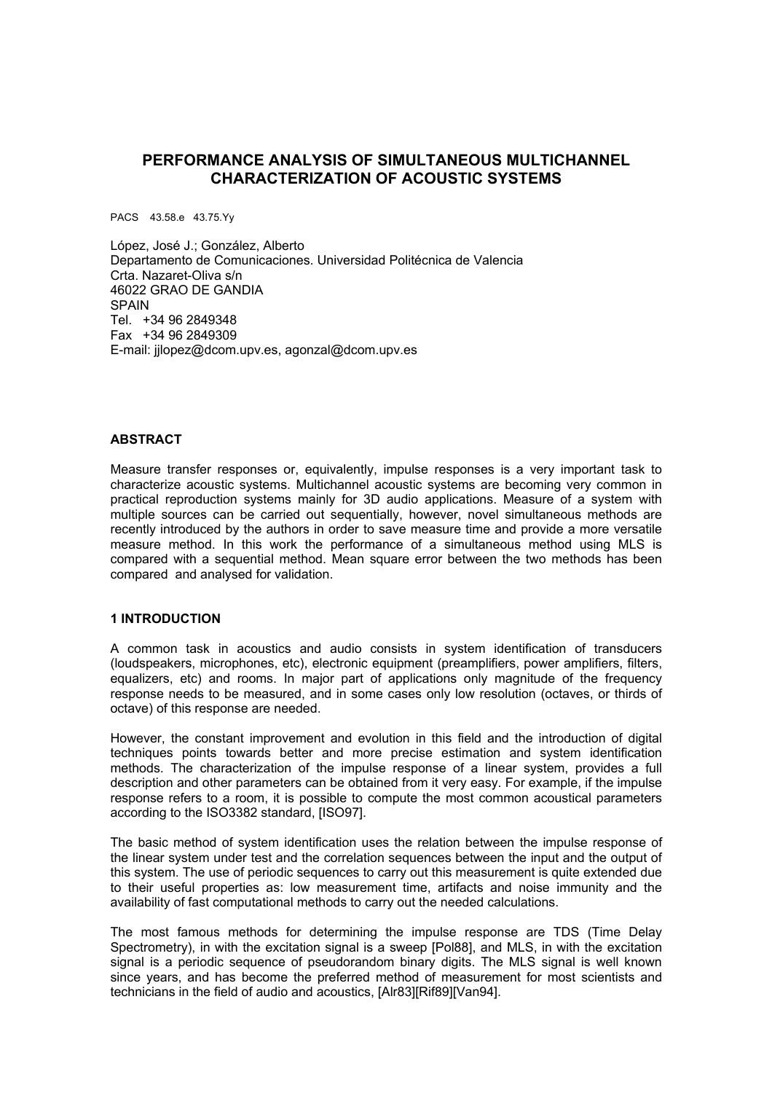# **PERFORMANCE ANALYSIS OF SIMULTANEOUS MULTICHANNEL CHARACTERIZATION OF ACOUSTIC SYSTEMS**

PACS 43.58.e 43.75.Yy

López, José J.; González, Alberto Departamento de Comunicaciones. Universidad Politécnica de Valencia Crta. Nazaret-Oliva s/n 46022 GRAO DE GANDIA **SPAIN** Tel. +34 96 2849348 Fax +34 96 2849309 E-mail: jjlopez@dcom.upv.es, agonzal@dcom.upv.es

#### **ABSTRACT**

Measure transfer responses or, equivalently, impulse responses is a very important task to characterize acoustic systems. Multichannel acoustic systems are becoming very common in practical reproduction systems mainly for 3D audio applications. Measure of a system with multiple sources can be carried out sequentially, however, novel simultaneous methods are recently introduced by the authors in order to save measure time and provide a more versatile measure method. In this work the performance of a simultaneous method using MLS is compared with a sequential method. Mean square error between the two methods has been compared and analysed for validation.

#### **1 INTRODUCTION**

A common task in acoustics and audio consists in system identification of transducers (loudspeakers, microphones, etc), electronic equipment (preamplifiers, power amplifiers, filters, equalizers, etc) and rooms. In major part of applications only magnitude of the frequency response needs to be measured, and in some cases only low resolution (octaves, or thirds of octave) of this response are needed.

However, the constant improvement and evolution in this field and the introduction of digital techniques points towards better and more precise estimation and system identification methods. The characterization of the impulse response of a linear system, provides a full description and other parameters can be obtained from it very easy. For example, if the impulse response refers to a room, it is possible to compute the most common acoustical parameters according to the ISO3382 standard, [ISO97].

The basic method of system identification uses the relation between the impulse response of the linear system under test and the correlation sequences between the input and the output of this system. The use of periodic sequences to carry out this measurement is quite extended due to their useful properties as: low measurement time, artifacts and noise immunity and the availability of fast computational methods to carry out the needed calculations.

The most famous methods for determining the impulse response are TDS (Time Delay Spectrometry), in with the excitation signal is a sweep [Pol88], and MLS, in with the excitation signal is a periodic sequence of pseudorandom binary digits. The MLS signal is well known since years, and has become the preferred method of measurement for most scientists and technicians in the field of audio and acoustics, [Alr83][Rif89][Van94].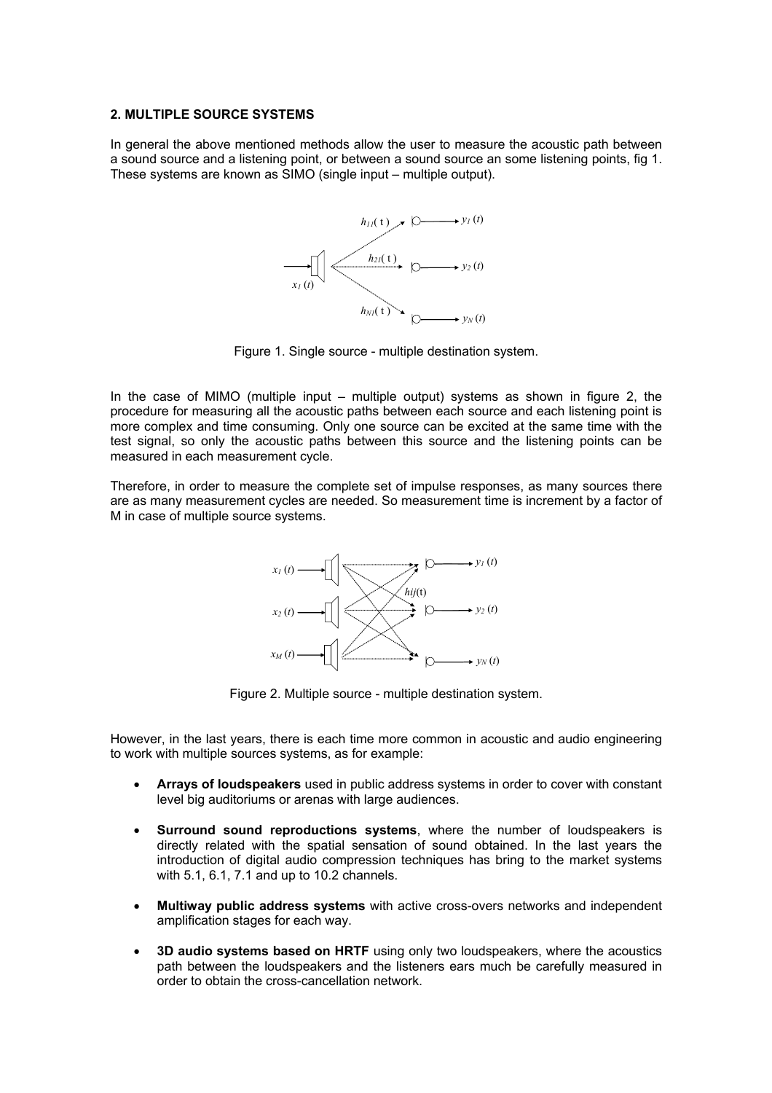#### **2. MULTIPLE SOURCE SYSTEMS**

In general the above mentioned methods allow the user to measure the acoustic path between a sound source and a listening point, or between a sound source an some listening points, fig 1. These systems are known as SIMO (single input – multiple output).



Figure 1. Single source - multiple destination system.

In the case of MIMO (multiple input – multiple output) systems as shown in figure 2, the procedure for measuring all the acoustic paths between each source and each listening point is more complex and time consuming. Only one source can be excited at the same time with the test signal, so only the acoustic paths between this source and the listening points can be measured in each measurement cycle.

Therefore, in order to measure the complete set of impulse responses, as many sources there are as many measurement cycles are needed. So measurement time is increment by a factor of M in case of multiple source systems.



Figure 2. Multiple source - multiple destination system.

However, in the last years, there is each time more common in acoustic and audio engineering to work with multiple sources systems, as for example:

- **Arrays of loudspeakers** used in public address systems in order to cover with constant level big auditoriums or arenas with large audiences.
- **Surround sound reproductions systems**, where the number of loudspeakers is directly related with the spatial sensation of sound obtained. In the last years the introduction of digital audio compression techniques has bring to the market systems with 5.1, 6.1, 7.1 and up to 10.2 channels.
- **Multiway public address systems** with active cross-overs networks and independent amplification stages for each way.
- **3D audio systems based on HRTF** using only two loudspeakers, where the acoustics path between the loudspeakers and the listeners ears much be carefully measured in order to obtain the cross-cancellation network.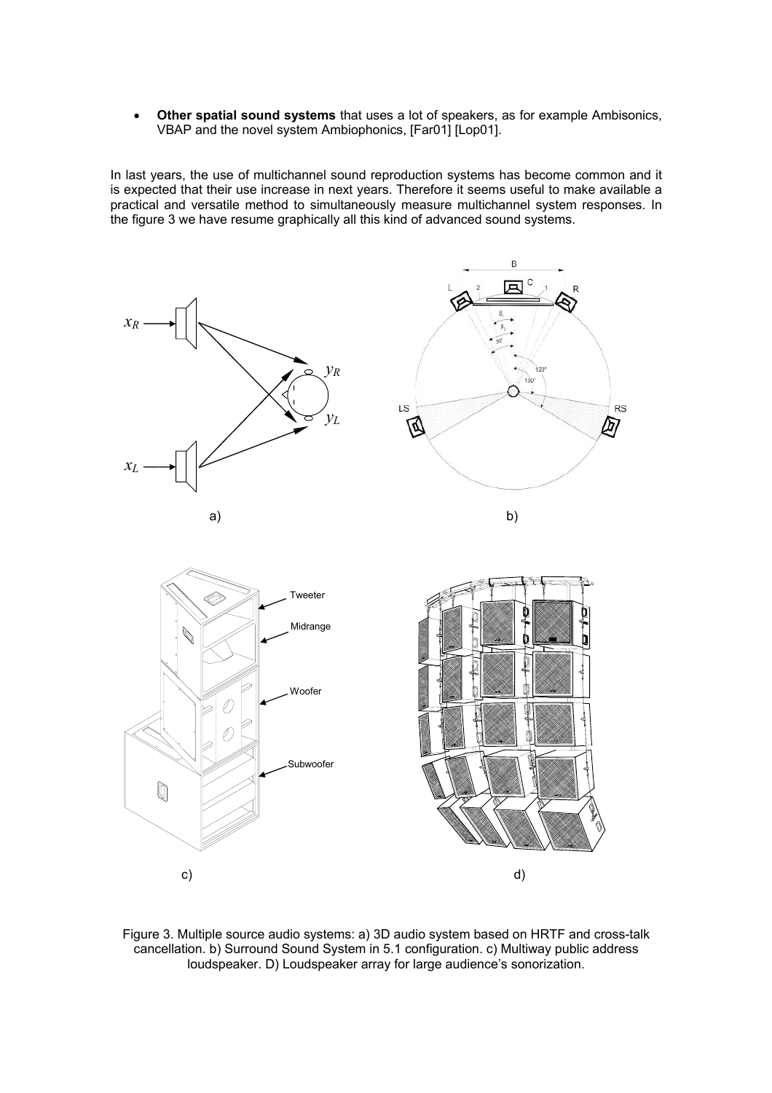• **Other spatial sound systems** that uses a lot of speakers, as for example Ambisonics, VBAP and the novel system Ambiophonics, [Far01] [Lop01].

In last years, the use of multichannel sound reproduction systems has become common and it is expected that their use increase in next years. Therefore it seems useful to make available a practical and versatile method to simultaneously measure multichannel system responses. In the figure 3 we have resume graphically all this kind of advanced sound systems.



Figure 3. Multiple source audio systems: a) 3D audio system based on HRTF and cross-talk cancellation. b) Surround Sound System in 5.1 configuration. c) Multiway public address loudspeaker. D) Loudspeaker array for large audience's sonorization.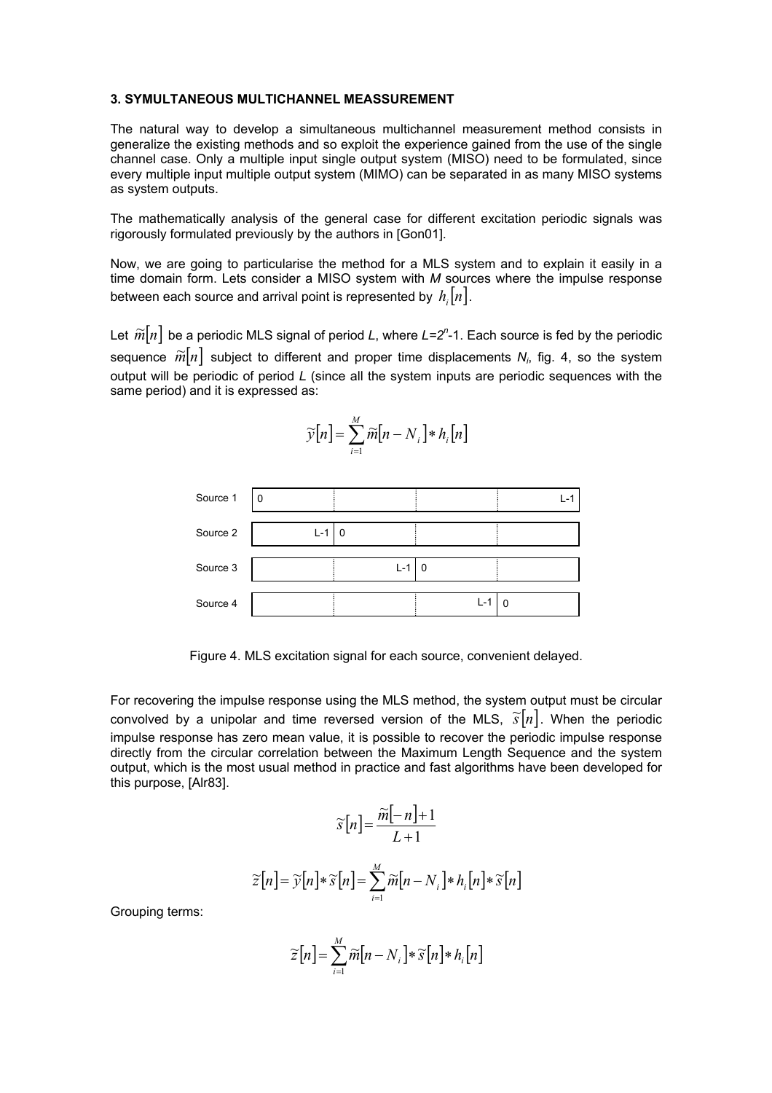#### **3. SYMULTANEOUS MULTICHANNEL MEASSUREMENT**

The natural way to develop a simultaneous multichannel measurement method consists in generalize the existing methods and so exploit the experience gained from the use of the single channel case. Only a multiple input single output system (MISO) need to be formulated, since every multiple input multiple output system (MIMO) can be separated in as many MISO systems as system outputs.

The mathematically analysis of the general case for different excitation periodic signals was rigorously formulated previously by the authors in [Gon01].

Now, we are going to particularise the method for a MLS system and to explain it easily in a time domain form. Lets consider a MISO system with *M* sources where the impulse response between each source and arrival point is represented by  $h_i[n]$ .

Let  $\widetilde{m}[n]$  be a periodic MLS signal of period *L*, where *L=2*<sup>n</sup>-1. Each source is fed by the periodic sequence  $\widetilde{m}[n]$  subject to different and proper time displacements  $N_i$ , fig. 4, so the system output will be periodic of period *L* (since all the system inputs are periodic sequences with the same period) and it is expressed as:

$$
\widetilde{\mathcal{Y}}[n] = \sum_{i=1}^{M} \widetilde{m}[n - N_i] * h_i[n]
$$



Figure 4. MLS excitation signal for each source, convenient delayed.

For recovering the impulse response using the MLS method, the system output must be circular convolved by a unipolar and time reversed version of the MLS,  $\tilde{s}[n]$ . When the periodic impulse response has zero mean value, it is possible to recover the periodic impulse response directly from the circular correlation between the Maximum Length Sequence and the system output, which is the most usual method in practice and fast algorithms have been developed for this purpose, [Alr83].

$$
\widetilde{s}[n] = \frac{\widetilde{m}[-n]+1}{L+1}
$$

$$
\widetilde{z}[n] = \widetilde{\gamma}[n] * \widetilde{s}[n] = \sum_{i=1}^{M} \widetilde{m}[n-N_i] * h_i[n] * \widetilde{s}[n]
$$

Grouping terms:

$$
\widetilde{\mathcal{Z}}[n] = \sum_{i=1}^{M} \widetilde{m}[n - N_i] * \widetilde{\mathcal{S}}[n] * h_i[n]
$$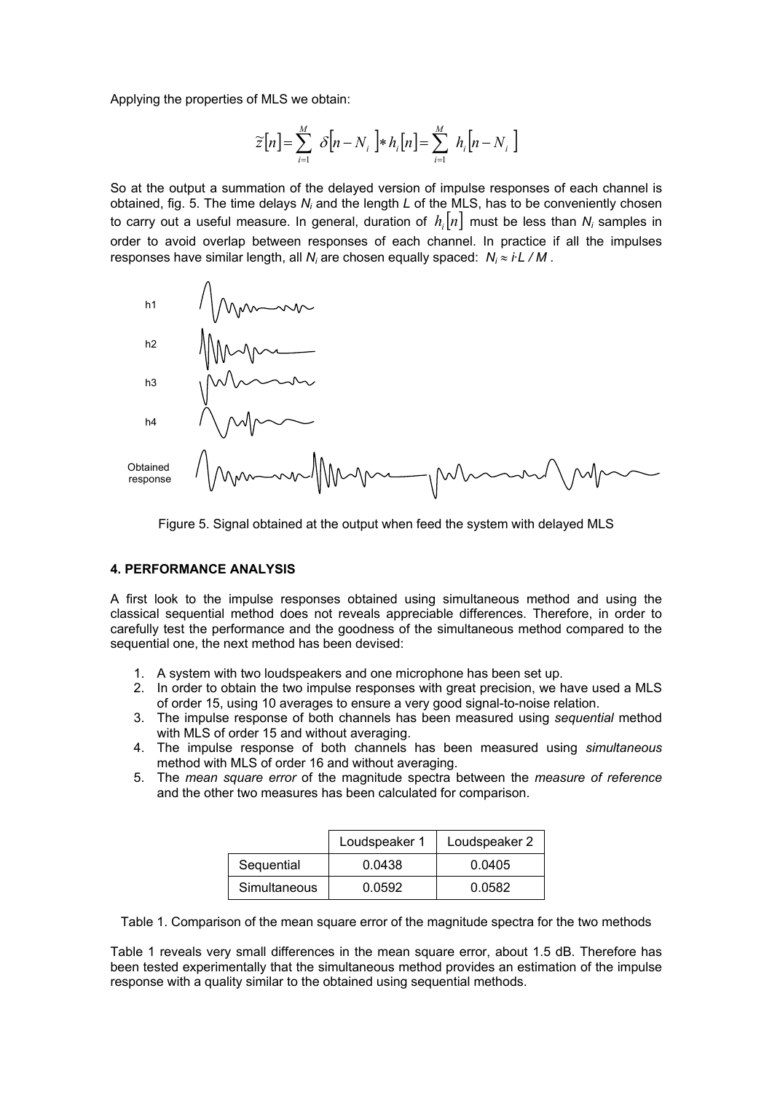Applying the properties of MLS we obtain:

$$
\widetilde{z}[n] = \sum_{i=1}^{M} \delta[n - N_i] * h_i[n] = \sum_{i=1}^{M} h_i[n - N_i]
$$

So at the output a summation of the delayed version of impulse responses of each channel is obtained, fig. 5. The time delays N<sub>i</sub> and the length L of the MLS, has to be conveniently chosen to carry out a useful measure. In general, duration of  $h_i[n]$  must be less than  $N_i$  samples in order to avoid overlap between responses of each channel. In practice if all the impulses responses have similar length, all *N<sub>i</sub>* are chosen equally spaced: *N<sub>i</sub>* ≈ *i·L / M* .





#### **4. PERFORMANCE ANALYSIS**

A first look to the impulse responses obtained using simultaneous method and using the classical sequential method does not reveals appreciable differences. Therefore, in order to carefully test the performance and the goodness of the simultaneous method compared to the sequential one, the next method has been devised:

- 1. A system with two loudspeakers and one microphone has been set up.
- 2. In order to obtain the two impulse responses with great precision, we have used a MLS of order 15, using 10 averages to ensure a very good signal-to-noise relation.
- 3. The impulse response of both channels has been measured using *sequential* method with MLS of order 15 and without averaging.
- 4. The impulse response of both channels has been measured using *simultaneous* method with MLS of order 16 and without averaging.
- 5. The *mean square error* of the magnitude spectra between the *measure of reference* and the other two measures has been calculated for comparison.

|              | Loudspeaker 1 | Loudspeaker 2 |
|--------------|---------------|---------------|
| Sequential   | 0.0438        | 0.0405        |
| Simultaneous | 0.0592        | 0.0582        |

Table 1. Comparison of the mean square error of the magnitude spectra for the two methods

Table 1 reveals very small differences in the mean square error, about 1.5 dB. Therefore has been tested experimentally that the simultaneous method provides an estimation of the impulse response with a quality similar to the obtained using sequential methods.